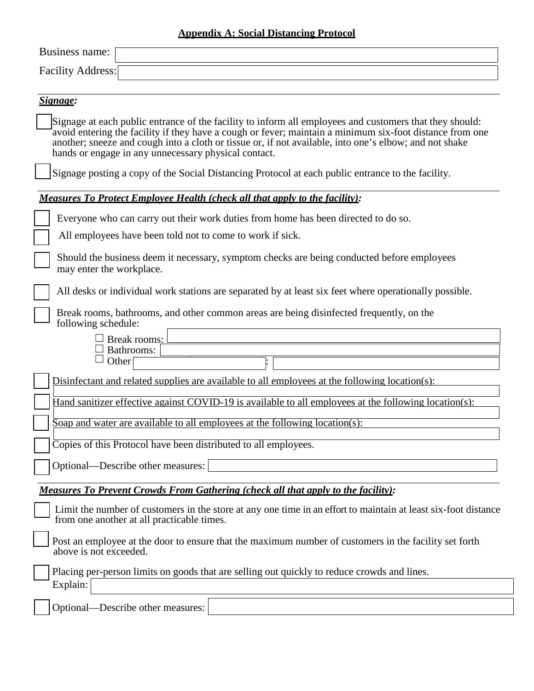## **Appendix A: Social Distancing Protocol**

| Business name:                                                                                                                                                                                                                                                                                                                                                                        |
|---------------------------------------------------------------------------------------------------------------------------------------------------------------------------------------------------------------------------------------------------------------------------------------------------------------------------------------------------------------------------------------|
| <b>Facility Address:</b>                                                                                                                                                                                                                                                                                                                                                              |
|                                                                                                                                                                                                                                                                                                                                                                                       |
| Signage:                                                                                                                                                                                                                                                                                                                                                                              |
| Signage at each public entrance of the facility to inform all employees and customers that they should:<br>avoid entering the facility if they have a cough or fever; maintain a minimum six-foot distance from one<br>another; sneeze and cough into a cloth or tissue or, if not available, into one's elbow; and not shake<br>hands or engage in any unnecessary physical contact. |
| Signage posting a copy of the Social Distancing Protocol at each public entrance to the facility.                                                                                                                                                                                                                                                                                     |
| <b>Measures To Protect Employee Health (check all that apply to the facility):</b>                                                                                                                                                                                                                                                                                                    |
| Everyone who can carry out their work duties from home has been directed to do so.                                                                                                                                                                                                                                                                                                    |
| All employees have been told not to come to work if sick.                                                                                                                                                                                                                                                                                                                             |
| Should the business deem it necessary, symptom checks are being conducted before employees<br>may enter the workplace.                                                                                                                                                                                                                                                                |
| All desks or individual work stations are separated by at least six feet where operationally possible.                                                                                                                                                                                                                                                                                |
| Break rooms, bathrooms, and other common areas are being disinfected frequently, on the<br>following schedule:                                                                                                                                                                                                                                                                        |
| Break rooms:<br>Bathrooms:<br>Other <sup>[</sup>                                                                                                                                                                                                                                                                                                                                      |
| Disinfectant and related supplies are available to all employees at the following location(s):                                                                                                                                                                                                                                                                                        |
| Hand sanitizer effective against COVID-19 is available to all employees at the following location(s):                                                                                                                                                                                                                                                                                 |
| Soap and water are available to all employees at the following location(s):                                                                                                                                                                                                                                                                                                           |
| Copies of this Protocol have been distributed to all employees.                                                                                                                                                                                                                                                                                                                       |
| Optional—Describe other measures:                                                                                                                                                                                                                                                                                                                                                     |
| <u>Measures To Prevent Crowds From Gathering (check all that apply to the facility):</u>                                                                                                                                                                                                                                                                                              |
| Limit the number of customers in the store at any one time in an effort to maintain at least six-foot distance<br>from one another at all practicable times.                                                                                                                                                                                                                          |
| Post an employee at the door to ensure that the maximum number of customers in the facility set forth<br>above is not exceeded.                                                                                                                                                                                                                                                       |
| Placing per-person limits on goods that are selling out quickly to reduce crowds and lines.<br>Explain:                                                                                                                                                                                                                                                                               |
| Optional—Describe other measures:                                                                                                                                                                                                                                                                                                                                                     |